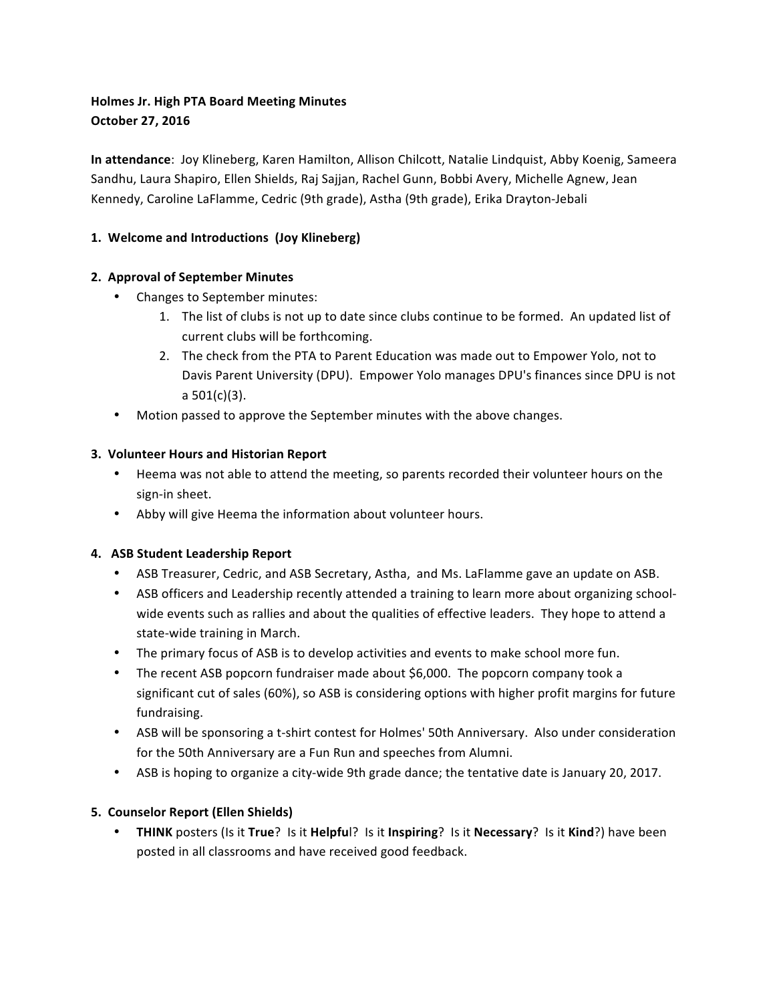# **Holmes Jr. High PTA Board Meeting Minutes October 27, 2016**

**In attendance**: Joy Klineberg, Karen Hamilton, Allison Chilcott, Natalie Lindquist, Abby Koenig, Sameera Sandhu, Laura Shapiro, Ellen Shields, Raj Sajjan, Rachel Gunn, Bobbi Avery, Michelle Agnew, Jean Kennedy, Caroline LaFlamme, Cedric (9th grade), Astha (9th grade), Erika Drayton-Jebali

## 1. Welcome and Introductions (Joy Klineberg)

### **2. Approval of September Minutes**

- Changes to September minutes:
	- 1. The list of clubs is not up to date since clubs continue to be formed. An updated list of current clubs will be forthcoming.
	- 2. The check from the PTA to Parent Education was made out to Empower Yolo, not to Davis Parent University (DPU). Empower Yolo manages DPU's finances since DPU is not a  $501(c)(3)$ .
- Motion passed to approve the September minutes with the above changes.

### **3. Volunteer Hours and Historian Report**

- Heema was not able to attend the meeting, so parents recorded their volunteer hours on the sign-in sheet.
- Abby will give Heema the information about volunteer hours.

# **4. ASB Student Leadership Report**

- ASB Treasurer, Cedric, and ASB Secretary, Astha, and Ms. LaFlamme gave an update on ASB.
- ASB officers and Leadership recently attended a training to learn more about organizing schoolwide events such as rallies and about the qualities of effective leaders. They hope to attend a state-wide training in March.
- The primary focus of ASB is to develop activities and events to make school more fun.
- The recent ASB popcorn fundraiser made about \$6,000. The popcorn company took a significant cut of sales (60%), so ASB is considering options with higher profit margins for future fundraising.
- ASB will be sponsoring a t-shirt contest for Holmes' 50th Anniversary. Also under consideration for the 50th Anniversary are a Fun Run and speeches from Alumni.
- ASB is hoping to organize a city-wide 9th grade dance; the tentative date is January 20, 2017.

### **5. Counselor Report (Ellen Shields)**

• **THINK** posters (Is it True? Is it Helpful? Is it Inspiring? Is it Necessary? Is it Kind?) have been posted in all classrooms and have received good feedback.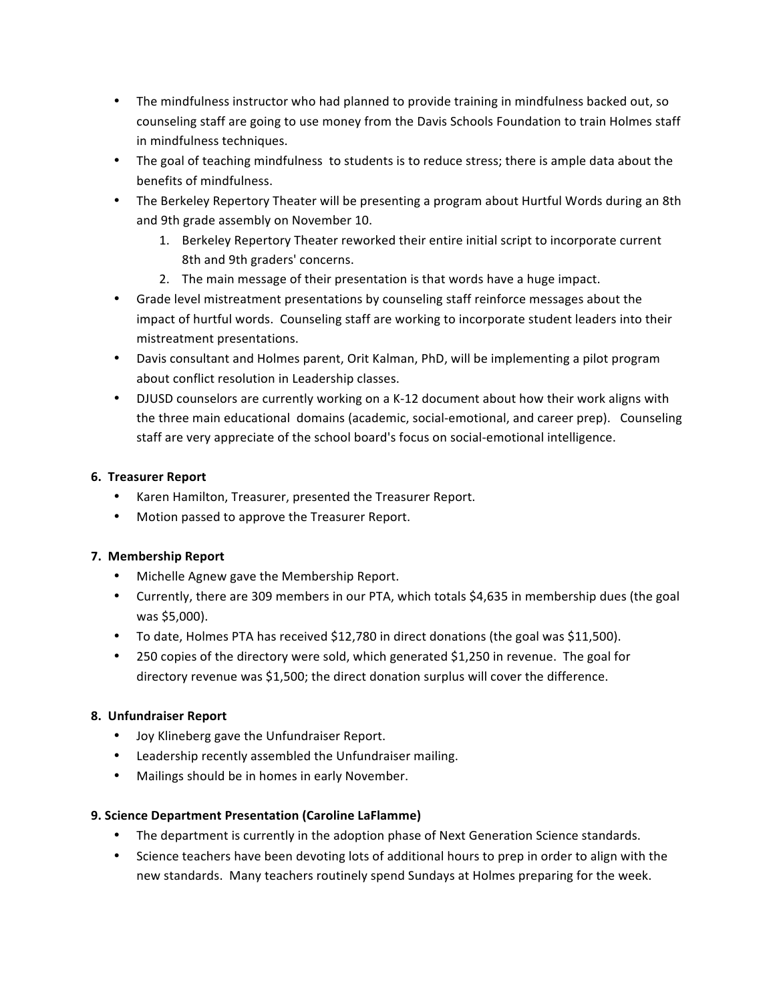- The mindfulness instructor who had planned to provide training in mindfulness backed out, so counseling staff are going to use money from the Davis Schools Foundation to train Holmes staff in mindfulness techniques.
- The goal of teaching mindfulness to students is to reduce stress; there is ample data about the benefits of mindfulness.
- The Berkeley Repertory Theater will be presenting a program about Hurtful Words during an 8th and 9th grade assembly on November 10.
	- 1. Berkeley Repertory Theater reworked their entire initial script to incorporate current 8th and 9th graders' concerns.
	- 2. The main message of their presentation is that words have a huge impact.
- Grade level mistreatment presentations by counseling staff reinforce messages about the impact of hurtful words. Counseling staff are working to incorporate student leaders into their mistreatment presentations.
- Davis consultant and Holmes parent, Orit Kalman, PhD, will be implementing a pilot program about conflict resolution in Leadership classes.
- DJUSD counselors are currently working on a K-12 document about how their work aligns with the three main educational domains (academic, social-emotional, and career prep). Counseling staff are very appreciate of the school board's focus on social-emotional intelligence.

### **6. Treasurer Report**

- Karen Hamilton, Treasurer, presented the Treasurer Report.
- Motion passed to approve the Treasurer Report.

### **7. Membership Report**

- Michelle Agnew gave the Membership Report.
- Currently, there are 309 members in our PTA, which totals \$4,635 in membership dues (the goal was \$5,000).
- To date, Holmes PTA has received \$12,780 in direct donations (the goal was \$11,500).
- 250 copies of the directory were sold, which generated \$1,250 in revenue. The goal for directory revenue was \$1,500; the direct donation surplus will cover the difference.

### **8. Unfundraiser Report**

- Joy Klineberg gave the Unfundraiser Report.
- Leadership recently assembled the Unfundraiser mailing.
- Mailings should be in homes in early November.

### **9. Science Department Presentation (Caroline LaFlamme)**

- The department is currently in the adoption phase of Next Generation Science standards.
- Science teachers have been devoting lots of additional hours to prep in order to align with the new standards. Many teachers routinely spend Sundays at Holmes preparing for the week.